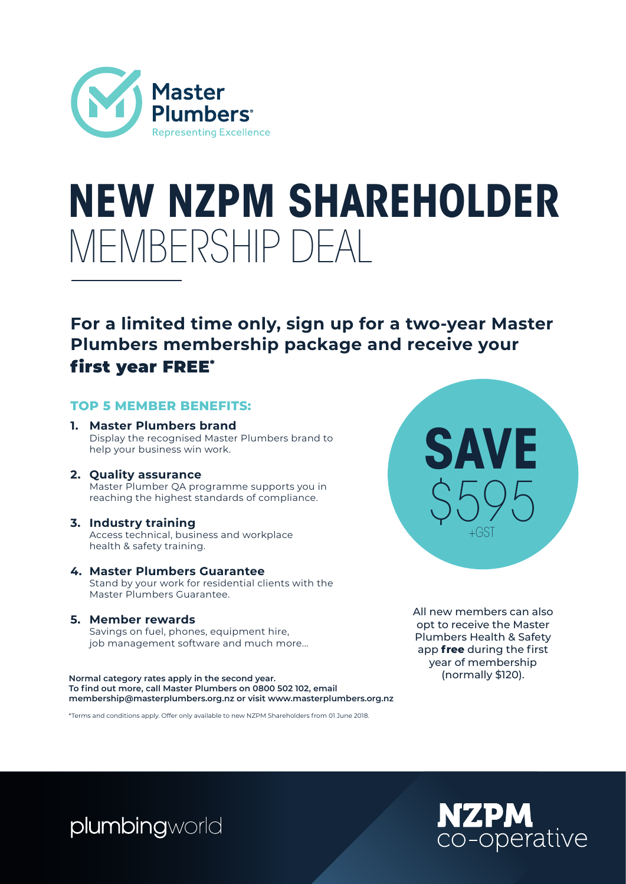

## **NEW NZPM SHAREHOLDER** MEMBERSHIP DEAL

### **For a limited time only, sign up for a two-year Master Plumbers membership package and receive your**  first year FREE\*

#### **TOP 5 MEMBER BENEFITS:**

- **1. Master Plumbers brand** Display the recognised Master Plumbers brand to help your business win work.
- **2. Quality assurance** Master Plumber QA programme supports you in reaching the highest standards of compliance.

#### **3. Industry training**

Access technical, business and workplace health & safety training.

**4. Master Plumbers Guarantee** Stand by your work for residential clients with the Master Plumbers Guarantee.

#### **5. Member rewards**

Savings on fuel, phones, equipment hire, job management software and much more...

**Normal category rates apply in the second year. To find out more, call Master Plumbers on 0800 502 102, email membership@masterplumbers.org.nz or visit www.masterplumbers.org.nz**

\*Terms and conditions apply. Offer only available to new NZPM Shareholders from 01 June 2018.



All new members can also opt to receive the Master Plumbers Health & Safety app **free** during the first year of membership (normally \$120).

plumbingworld

## **NZPM** co-operative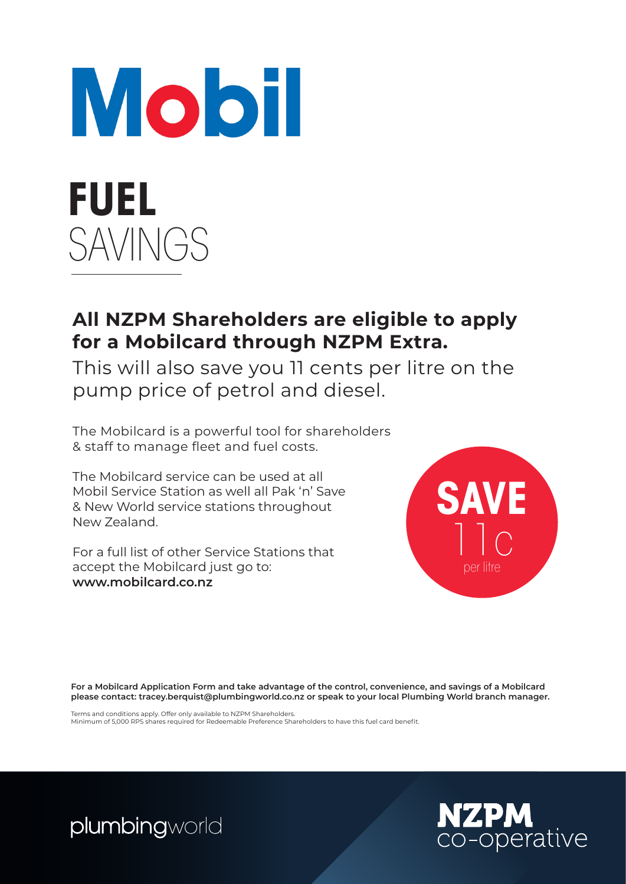

### **All NZPM Shareholders are eligible to apply for a Mobilcard through NZPM Extra.**

This will also save you 11 cents per litre on the pump price of petrol and diesel.

The Mobilcard is a powerful tool for shareholders & staff to manage fleet and fuel costs.

The Mobilcard service can be used at all Mobil Service Station as well all Pak 'n' Save & New World service stations throughout New Zealand.

For a full list of other Service Stations that accept the Mobilcard just go to: **www.mobilcard.co.nz**



**For a Mobilcard Application Form and take advantage of the control, convenience, and savings of a Mobilcard please contact: tracey.berquist@plumbingworld.co.nz or speak to your local Plumbing World branch manager.**

Terms and conditions apply. Offer only available to NZPM Shareholders. Minimum of 5,000 RPS shares required for Redeemable Preference Shareholders to have this fuel card benefit.

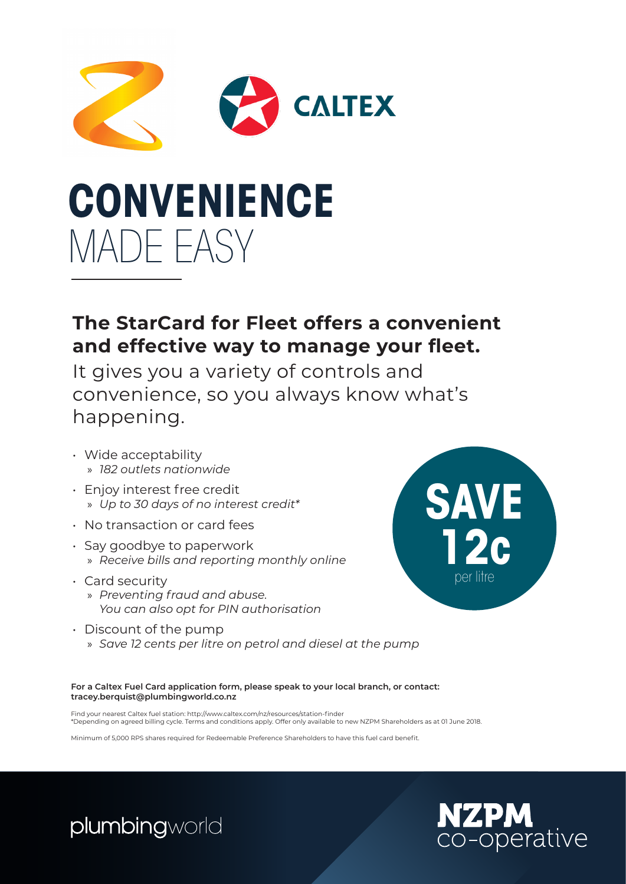

## **CONVENIENCE** MADE EASY

### **The StarCard for Fleet offers a convenient and effective way to manage your fleet.**

It gives you a variety of controls and convenience, so you always know what's happening.

- Wide acceptability » *182 outlets nationwide*
- Enjoy interest free credit » *Up to 30 days of no interest credit\**
- No transaction or card fees
- Say goodbye to paperwork » *Receive bills and reporting monthly online*
- Card security

plumbingworld

- » *Preventing fraud and abuse. You can also opt for PIN authorisation*
- **SAVE 12c** per litre
- $\cdot$  Discount of the pump » *Save 12 cents per litre on petrol and diesel at the pump*

**For a Caltex Fuel Card application form, please speak to your local branch, or contact: tracey.berquist@plumbingworld.co.nz**

Find your nearest Caltex fuel station: http://www.caltex.com/nz/resources/station-finder \*Depending on agreed billing cycle. Terms and conditions apply. Offer only available to new NZPM Shareholders as at 01 June 2018.

Minimum of 5,000 RPS shares required for Redeemable Preference Shareholders to have this fuel card benefit.

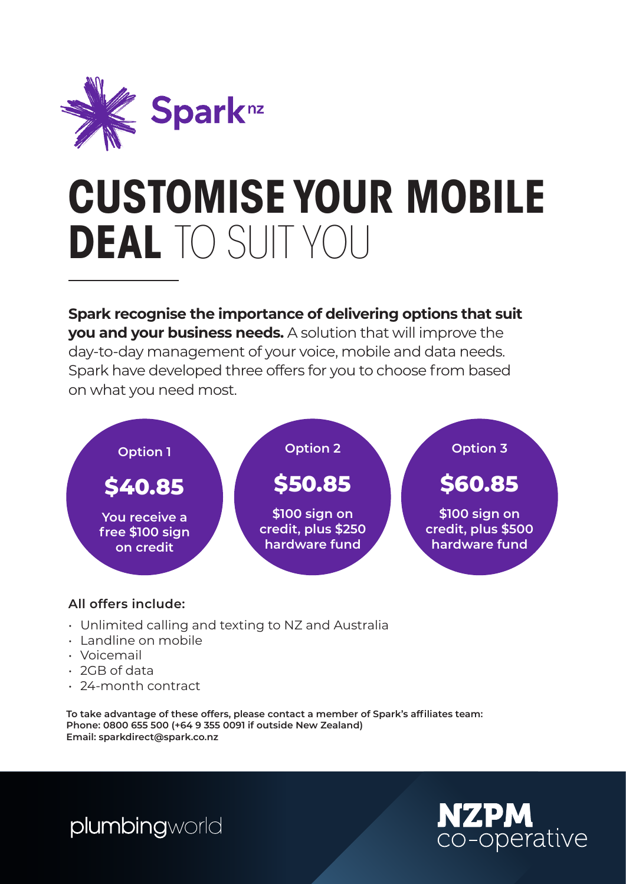

## **CUSTOMISE YOUR MOBILE DEAL** TO SUIT YOU

**Spark recognise the importance of delivering options that suit you and your business needs.** A solution that will improve the day-to-day management of your voice, mobile and data needs. Spark have developed three offers for you to choose from based on what you need most.



### **All offers include:**

- Unlimited calling and texting to NZ and Australia
- Landline on mobile
- Voicemail
- 2GB of data
- 24-month contract

**To take advantage of these offers, please contact a member of Spark's affiliates team: Phone: 0800 655 500 (+64 9 355 0091 if outside New Zealand) Email: sparkdirect@spark.co.nz**

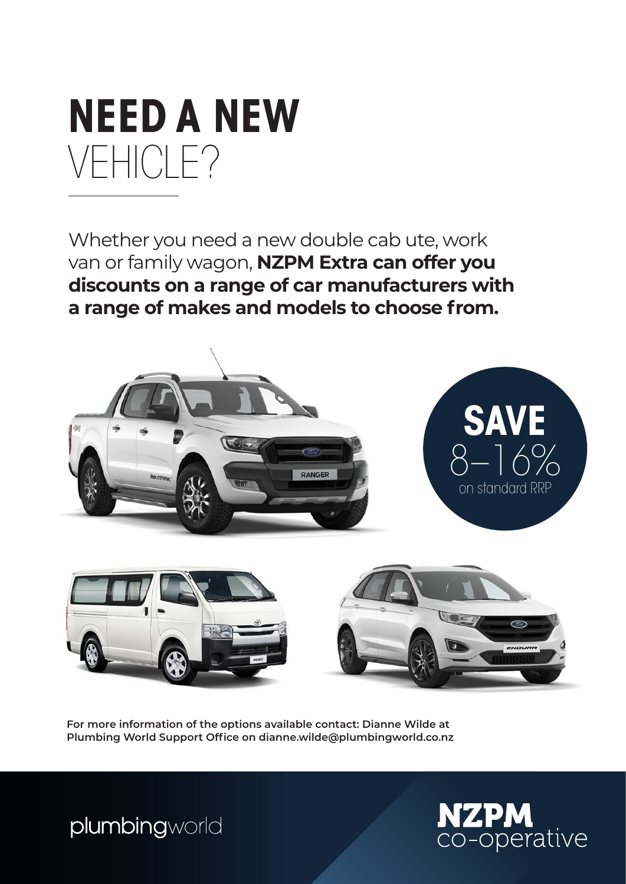

Whether you need a new double cab ute, work van or family wagon, **NZPM Extra can offer you discounts on a range of car manufacturers with a range of makes and models to choose from.**



**For more information of the options available contact: Dianne Wilde at Plumbing World Support Office on dianne.wilde@plumbingworld.co.nz**



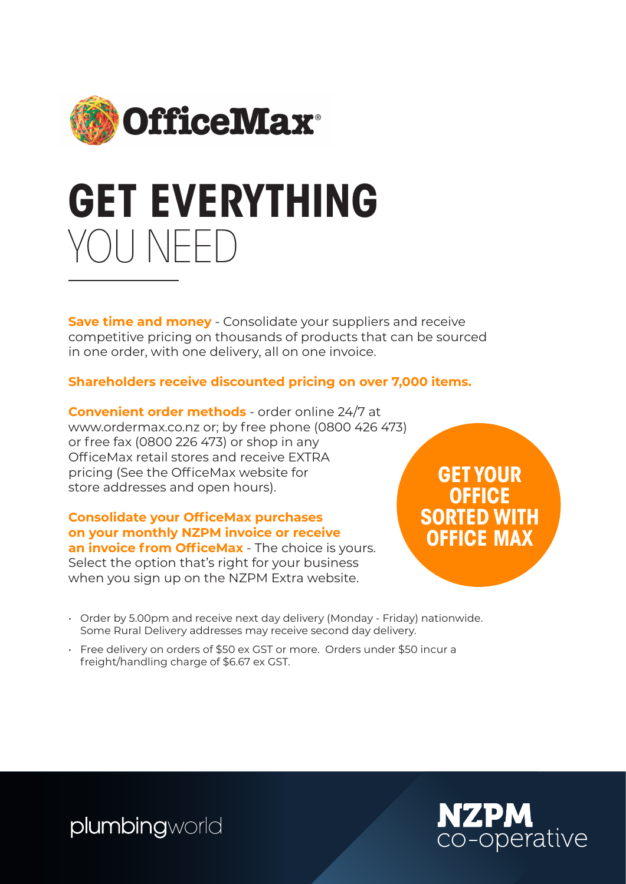

## **GET EVERYTHING** YOU NEED

**Save time and money** - Consolidate your suppliers and receive competitive pricing on thousands of products that can be sourced in one order, with one delivery, all on one invoice.

### **Shareholders receive discounted pricing on over 7,000 items.**

**Convenient order methods** - order online 24/7 at www.ordermax.co.nz or; by free phone (0800 426 473) or free fax (0800 226 473) or shop in any OfficeMax retail stores and receive EXTRA pricing (See the OfficeMax website for store addresses and open hours).

#### **Consolidate your OfficeMax purchases on your monthly NZPM invoice or receive an invoice from OfficeMax** - The choice is yours.

Select the option that's right for your business when you sign up on the NZPM Extra website.

**GET YOUR OFFICE SORTED WITH OFFICE MAX**

- Order by 5.00pm and receive next day delivery (Monday Friday) nationwide. Some Rural Delivery addresses may receive second day delivery.
- Free delivery on orders of \$50 ex GST or more. Orders under \$50 incur a freight/handling charge of \$6.67 ex GST.